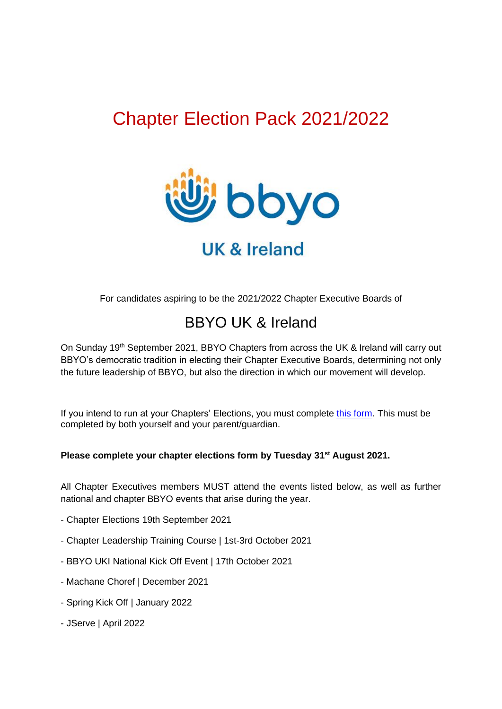## Chapter Election Pack 2021/2022



## **UK & Ireland**

For candidates aspiring to be the 2021/2022 Chapter Executive Boards of

### BBYO UK & Ireland

On Sunday 19<sup>th</sup> September 2021, BBYO Chapters from across the UK & Ireland will carry out BBYO's democratic tradition in electing their Chapter Executive Boards, determining not only the future leadership of BBYO, but also the direction in which our movement will develop.

If you intend to run at your Chapters' Elections, you must complete [this form.](https://forms.gle/nvjWbY8o88Rc9GdJ7) This must be completed by both yourself and your parent/guardian.

#### **Please complete your chapter elections form by Tuesday 31st August 2021.**

All Chapter Executives members MUST attend the events listed below, as well as further national and chapter BBYO events that arise during the year.

- Chapter Elections 19th September 2021
- Chapter Leadership Training Course | 1st-3rd October 2021
- BBYO UKI National Kick Off Event | 17th October 2021
- Machane Choref | December 2021
- Spring Kick Off | January 2022
- JServe | April 2022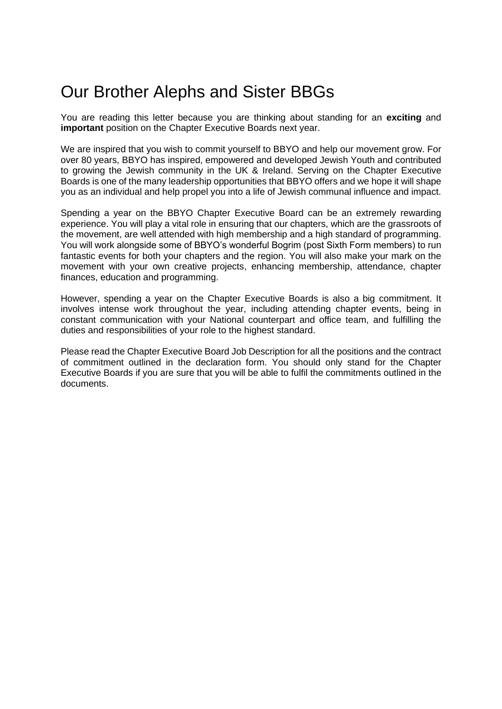## Our Brother Alephs and Sister BBGs

You are reading this letter because you are thinking about standing for an **exciting** and **important** position on the Chapter Executive Boards next year.

We are inspired that you wish to commit yourself to BBYO and help our movement grow. For over 80 years, BBYO has inspired, empowered and developed Jewish Youth and contributed to growing the Jewish community in the UK & Ireland. Serving on the Chapter Executive Boards is one of the many leadership opportunities that BBYO offers and we hope it will shape you as an individual and help propel you into a life of Jewish communal influence and impact.

Spending a year on the BBYO Chapter Executive Board can be an extremely rewarding experience. You will play a vital role in ensuring that our chapters, which are the grassroots of the movement, are well attended with high membership and a high standard of programming. You will work alongside some of BBYO's wonderful Bogrim (post Sixth Form members) to run fantastic events for both your chapters and the region. You will also make your mark on the movement with your own creative projects, enhancing membership, attendance, chapter finances, education and programming.

However, spending a year on the Chapter Executive Boards is also a big commitment. It involves intense work throughout the year, including attending chapter events, being in constant communication with your National counterpart and office team, and fulfilling the duties and responsibilities of your role to the highest standard.

Please read the Chapter Executive Board Job Description for all the positions and the contract of commitment outlined in the declaration form. You should only stand for the Chapter Executive Boards if you are sure that you will be able to fulfil the commitments outlined in the documents.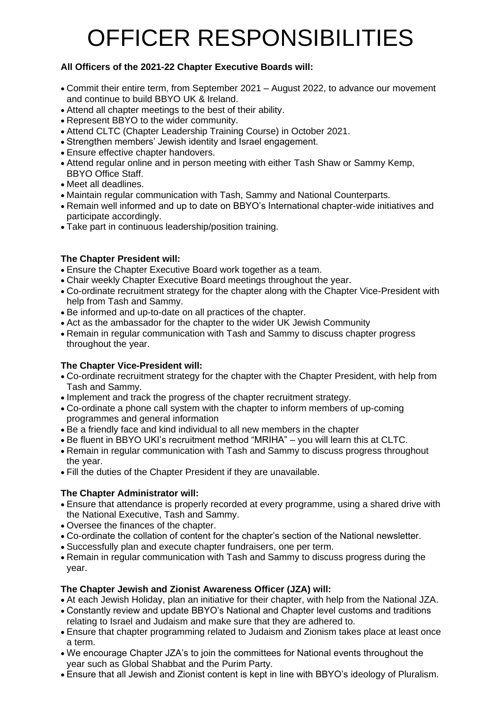# OFFICER RESPONSIBILITIES

#### **All Officers of the 2021-22 Chapter Executive Boards will:**

- Commit their entire term, from September 2021 August 2022, to advance our movement and continue to build BBYO UK & Ireland.
- Attend all chapter meetings to the best of their ability.
- Represent BBYO to the wider community.
- Attend CLTC (Chapter Leadership Training Course) in October 2021.
- Strengthen members' Jewish identity and Israel engagement.
- Ensure effective chapter handovers.
- Attend regular online and in person meeting with either Tash Shaw or Sammy Kemp, BBYO Office Staff.
- Meet all deadlines.
- Maintain regular communication with Tash, Sammy and National Counterparts.
- Remain well informed and up to date on BBYO's International chapter-wide initiatives and participate accordingly.
- Take part in continuous leadership/position training.

#### **The Chapter President will:**

- Ensure the Chapter Executive Board work together as a team.
- Chair weekly Chapter Executive Board meetings throughout the year.
- Co-ordinate recruitment strategy for the chapter along with the Chapter Vice-President with help from Tash and Sammy.
- Be informed and up-to-date on all practices of the chapter.
- Act as the ambassador for the chapter to the wider UK Jewish Community
- Remain in regular communication with Tash and Sammy to discuss chapter progress throughout the year.

#### **The Chapter Vice-President will:**

- Co-ordinate recruitment strategy for the chapter with the Chapter President, with help from Tash and Sammy.
- Implement and track the progress of the chapter recruitment strategy.
- Co-ordinate a phone call system with the chapter to inform members of up-coming programmes and general information
- Be a friendly face and kind individual to all new members in the chapter
- Be fluent in BBYO UKI's recruitment method "MRIHA" you will learn this at CLTC.
- Remain in regular communication with Tash and Sammy to discuss progress throughout the year.
- Fill the duties of the Chapter President if they are unavailable.

#### **The Chapter Administrator will:**

- Ensure that attendance is properly recorded at every programme, using a shared drive with the National Executive, Tash and Sammy.
- Oversee the finances of the chapter.
- Co-ordinate the collation of content for the chapter's section of the National newsletter.
- Successfully plan and execute chapter fundraisers, one per term.
- Remain in regular communication with Tash and Sammy to discuss progress during the year.

#### **The Chapter Jewish and Zionist Awareness Officer (JZA) will:**

- At each Jewish Holiday, plan an initiative for their chapter, with help from the National JZA.
- Constantly review and update BBYO's National and Chapter level customs and traditions relating to Israel and Judaism and make sure that they are adhered to.
- Ensure that chapter programming related to Judaism and Zionism takes place at least once a term.
- We encourage Chapter JZA's to join the committees for National events throughout the year such as Global Shabbat and the Purim Party.
- Ensure that all Jewish and Zionist content is kept in line with BBYO's ideology of Pluralism.